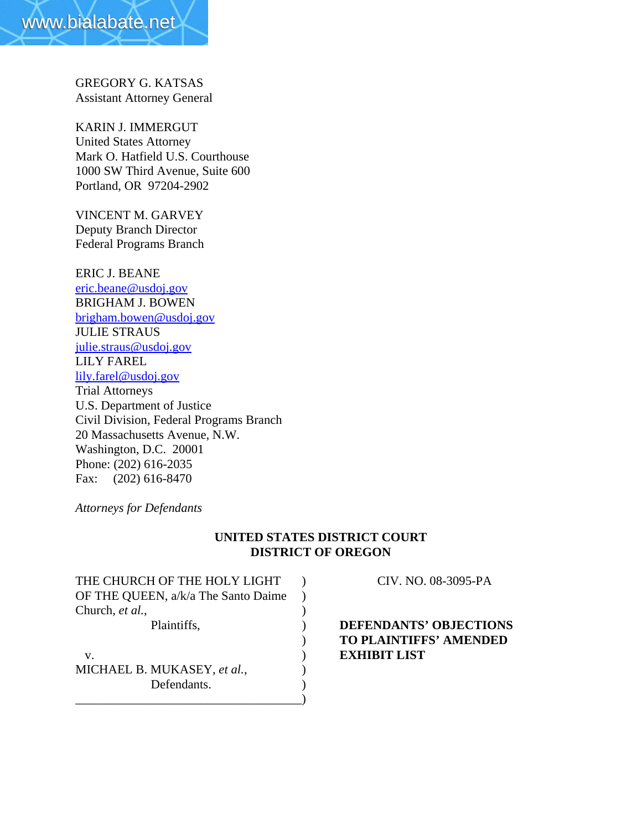GREGORY G. KATSAS Assistant Attorney General

KARIN J. IMMERGUT United States Attorney Mark O. Hatfield U.S. Courthouse 1000 SW Third Avenue, Suite 600 Portland, OR 97204-2902

VINCENT M. GARVEY Deputy Branch Director Federal Programs Branch

ERIC J. BEANE eric.beane@usdoj.gov BRIGHAM J. BOWEN brigham.bowen@usdoj.gov JULIE STRAUS julie.straus@usdoj.gov LILY FAREL lily.farel@usdoj.gov Trial Attorneys U.S. Department of Justice Civil Division, Federal Programs Branch 20 Massachusetts Avenue, N.W. Washington, D.C. 20001 Phone: (202) 616-2035 Fax: (202) 616-8470

*Attorneys for Defendants*

## **UNITED STATES DISTRICT COURT DISTRICT OF OREGON**

THE CHURCH OF THE HOLY LIGHT ) CIV. NO. 08-3095-PA OF THE QUEEN, a/k/a The Santo Daime ) Church, *et al.*, v. ) **EXHIBIT LIST** MICHAEL B. MUKASEY, *et al.*,  $\qquad$ ) Defendants.

\_\_\_\_\_\_\_\_\_\_\_\_\_\_\_\_\_\_\_\_\_\_\_\_\_\_\_\_\_\_\_\_\_\_\_\_)

## Plaintiffs, ) **DEFENDANTS' OBJECTIONS** ) **TO PLAINTIFFS' AMENDED**